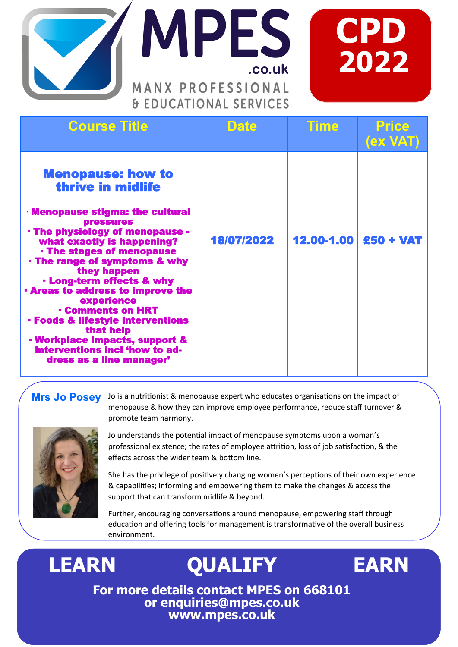



| <b>Course Title</b>                                                                                                                                                                                                                                                                                                                                                                                                                                                                                                                           | <b>Date</b> | <b>Time</b> | <b>Price</b><br>(ex VAT) |
|-----------------------------------------------------------------------------------------------------------------------------------------------------------------------------------------------------------------------------------------------------------------------------------------------------------------------------------------------------------------------------------------------------------------------------------------------------------------------------------------------------------------------------------------------|-------------|-------------|--------------------------|
| <b>Menopause: how to</b><br>thrive in midlife<br><b>Menopause stigma: the cultural</b><br><b>pressures</b><br>- The physiology of menopause -<br>what exactly is happening?<br><b>· The stages of menopause</b><br>. The range of symptoms & why<br>they happen<br>. Long-term effects & why<br><b>Areas to address to improve the</b><br>experience<br><b>- Comments on HRT</b><br><b>• Foods &amp; lifestyle interventions</b><br>that help<br>· Workplace impacts, support &<br>interventions incl 'how to ad-<br>dress as a line manager' | 18/07/2022  | 12.00-1.00  | £50 + VAT                |

**MPES** 

MANX PROFESSIONAL

& EDUCATIONAL SERVICES

**.co.uk**

## **Mrs Jo Posey**

Jo is a nutritionist & menopause expert who educates organisations on the impact of menopause & how they can improve employee performance, reduce staff turnover & promote team harmony.



Jo understands the potential impact of menopause symptoms upon a woman's professional existence; the rates of employee attrition, loss of job satisfaction, & the effects across the wider team & bottom line.

She has the privilege of positively changing women's perceptions of their own experience & capabilities; informing and empowering them to make the changes & access the support that can transform midlife & beyond.

Further, encouraging conversations around menopause, empowering staff through education and offering tools for management is transformative of the overall business environment.

## **LEARN QUALIFY EARN**



**For more details contact MPES on 668101 or enquiries@mpes.co.uk www.mpes.co.uk**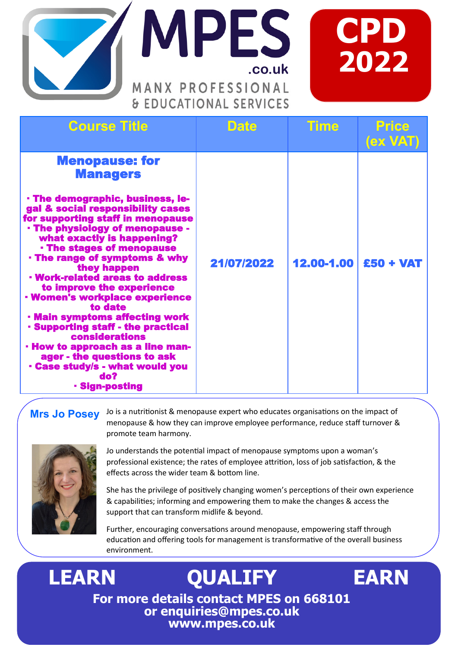



| LDOCATIONAL JLIVICLJ                                                                                                                                                                                                                                                                                                                                                                                                                                                                                                                                                                                                                                                                  |             |            |                   |  |
|---------------------------------------------------------------------------------------------------------------------------------------------------------------------------------------------------------------------------------------------------------------------------------------------------------------------------------------------------------------------------------------------------------------------------------------------------------------------------------------------------------------------------------------------------------------------------------------------------------------------------------------------------------------------------------------|-------------|------------|-------------------|--|
| <b>Course Title</b>                                                                                                                                                                                                                                                                                                                                                                                                                                                                                                                                                                                                                                                                   | <b>Date</b> | Time       | Price<br>(ex VAT) |  |
| <b>Menopause: for</b><br><b>Managers</b><br><b>· The demographic, business, le-</b><br>gal & social responsibility cases<br>for supporting staff in menopause<br>- The physiology of menopause -<br>what exactly is happening?<br><b>The stages of menopause</b><br>. The range of symptoms & why<br>they happen<br><b>· Work-related areas to address</b><br>to improve the experience<br><b>· Women's workplace experience</b><br>to date<br>· Main symptoms affecting work<br><b>Supporting staff - the practical</b><br><b>considerations</b><br>- How to approach as a line man-<br>ager - the questions to ask<br>- Case study/s - what would you<br>do?<br><b>Sign-posting</b> | 21/07/2022  | 12.00-1.00 | $£50 + VAT$       |  |

**MPES** 

MANX PROFESSIONAL **SEDUCATIONAL SEDVICES** 

**.co.uk**

## **Mrs Jo Posey**

Jo is a nutritionist & menopause expert who educates organisations on the impact of menopause & how they can improve employee performance, reduce staff turnover & promote team harmony.



Jo understands the potential impact of menopause symptoms upon a woman's professional existence; the rates of employee attrition, loss of job satisfaction, & the effects across the wider team & bottom line.

She has the privilege of positively changing women's perceptions of their own experience & capabilities; informing and empowering them to make the changes & access the support that can transform midlife & beyond.

Further, encouraging conversations around menopause, empowering staff through education and offering tools for management is transformative of the overall business environment.

**For more details contact MPES on 668101 or enquiries@mpes.co.uk www.mpes.co.uk**

**LEARN QUALIFY EARN**